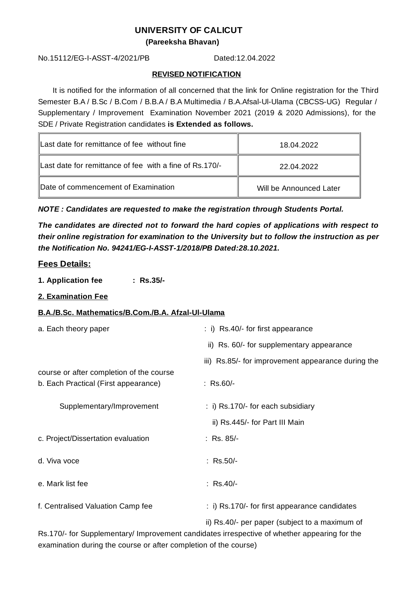### **UNIVERSITY OF CALICUT**

**(Pareeksha Bhavan)**

No.15112/EG-I-ASST-4/2021/PB Dated:12.04.2022

#### **REVISED NOTIFICATION**

It is notified for the information of all concerned that the link for Online registration for the Third Semester B.A / B.Sc / B.Com / B.B.A / B.A Multimedia / B.A.Afsal-Ul-Ulama (CBCSS-UG) Regular / Supplementary / Improvement Examination November 2021 (2019 & 2020 Admissions), for the SDE / Private Registration candidates **is Extended as follows.**

| Last date for remittance of fee without fine            | 18.04.2022              |
|---------------------------------------------------------|-------------------------|
| Last date for remittance of fee with a fine of Rs.170/- | 22.04.2022              |
| Date of commencement of Examination                     | Will be Announced Later |

*NOTE : Candidates are requested to make the registration through Students Portal.*

*The candidates are directed not to forward the hard copies of applications with respect to their online registration for examination to the University but to follow the instruction as per the Notification No. 94241/EG-I-ASST-1/2018/PB Dated:28.10.2021.*

## **Fees Details:**

- **1. Application fee : Rs.35/-**
- **2. Examination Fee**

#### **B.A./B.Sc. Mathematics/B.Com./B.A. Afzal-Ul-Ulama**

| a. Each theory paper                                                             | $\therefore$ i) Rs.40/- for first appearance             |
|----------------------------------------------------------------------------------|----------------------------------------------------------|
|                                                                                  | ii) Rs. 60/- for supplementary appearance                |
|                                                                                  | iii) Rs.85/- for improvement appearance during the       |
| course or after completion of the course<br>b. Each Practical (First appearance) | : $Rs.60/-$                                              |
| Supplementary/Improvement                                                        | $\pm$ i) Rs.170/- for each subsidiary                    |
|                                                                                  | ii) Rs.445/- for Part III Main                           |
| c. Project/Dissertation evaluation                                               | : Rs. 85/-                                               |
| d. Viva voce                                                                     | : $Rs.50/-$                                              |
| e. Mark list fee                                                                 | $:$ Rs.40/-                                              |
| f. Centralised Valuation Camp fee                                                | $\therefore$ i) Rs.170/- for first appearance candidates |

ii) Rs.40/- per paper (subject to a maximum of Rs.170/- for Supplementary/ Improvement candidates irrespective of whether appearing for the examination during the course or after completion of the course)